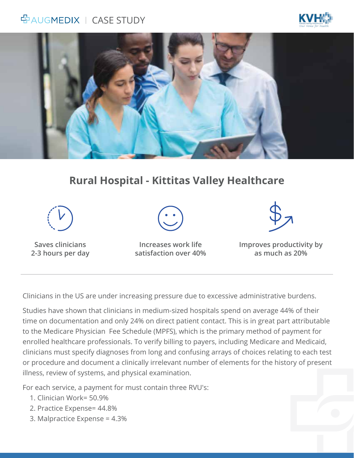## 空AUGMEDIX | CASE STUDY





## **Rural Hospital - Kittitas Valley Healthcare**



**Saves clinicians 2-3 hours per day**

**Increases work life satisfaction over 40%**



**Improves productivity by as much as 20%**

Clinicians in the US are under increasing pressure due to excessive administrative burdens.

Studies have shown that clinicians in medium-sized hospitals spend on average 44% of their time on documentation and only 24% on direct patient contact. This is in great part attributable to the Medicare Physician Fee Schedule (MPFS), which is the primary method of payment for enrolled healthcare professionals. To verify billing to payers, including Medicare and Medicaid, clinicians must specify diagnoses from long and confusing arrays of choices relating to each test or procedure and document a clinically irrelevant number of elements for the history of present illness, review of systems, and physical examination.

For each service, a payment for must contain three RVU's:

- 1. Clinician Work= 50.9%
- 2. Practice Expense= 44.8%
- 3. Malpractice Expense = 4.3%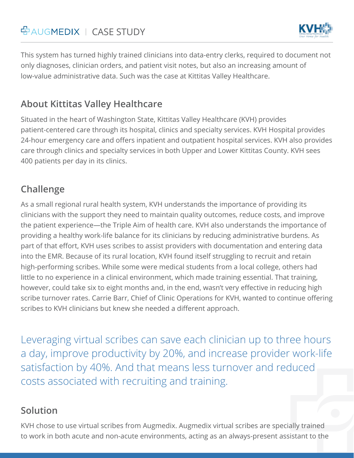# **GAUGMEDIX** | CASE STUDY



This system has turned highly trained clinicians into data-entry clerks, required to document not only diagnoses, clinician orders, and patient visit notes, but also an increasing amount of low-value administrative data. Such was the case at Kittitas Valley Healthcare.

#### **About Kittitas Valley Healthcare**

Situated in the heart of Washington State, Kittitas Valley Healthcare (KVH) provides patient-centered care through its hospital, clinics and specialty services. KVH Hospital provides 24-hour emergency care and offers inpatient and outpatient hospital services. KVH also provides care through clinics and specialty services in both Upper and Lower Kittitas County. KVH sees 400 patients per day in its clinics.

#### **Challenge**

As a small regional rural health system, KVH understands the importance of providing its clinicians with the support they need to maintain quality outcomes, reduce costs, and improve the patient experience—the Triple Aim of health care. KVH also understands the importance of providing a healthy work-life balance for its clinicians by reducing administrative burdens. As part of that effort, KVH uses scribes to assist providers with documentation and entering data into the EMR. Because of its rural location, KVH found itself struggling to recruit and retain high-performing scribes. While some were medical students from a local college, others had little to no experience in a clinical environment, which made training essential. That training, however, could take six to eight months and, in the end, wasn't very effective in reducing high scribe turnover rates. Carrie Barr, Chief of Clinic Operations for KVH, wanted to continue offering scribes to KVH clinicians but knew she needed a different approach.

Leveraging virtual scribes can save each clinician up to three hours a day, improve productivity by 20%, and increase provider work-life satisfaction by 40%. And that means less turnover and reduced costs associated with recruiting and training.

#### **Solution**

KVH chose to use virtual scribes from Augmedix. Augmedix virtual scribes are specially trained to work in both acute and non-acute environments, acting as an always-present assistant to the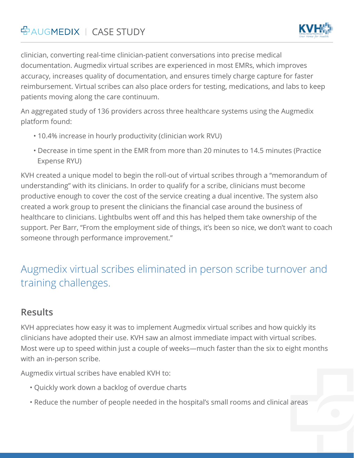

clinician, converting real-time clinician-patient conversations into precise medical documentation. Augmedix virtual scribes are experienced in most EMRs, which improves accuracy, increases quality of documentation, and ensures timely charge capture for faster reimbursement. Virtual scribes can also place orders for testing, medications, and labs to keep patients moving along the care continuum.

An aggregated study of 136 providers across three healthcare systems using the Augmedix platform found:

- 10.4% increase in hourly productivity (clinician work RVU)
- Decrease in time spent in the EMR from more than 20 minutes to 14.5 minutes (Practice Expense RYU)

KVH created a unique model to begin the roll-out of virtual scribes through a "memorandum of understanding" with its clinicians. In order to qualify for a scribe, clinicians must become productive enough to cover the cost of the service creating a dual incentive. The system also created a work group to present the clinicians the financial case around the business of healthcare to clinicians. Lightbulbs went off and this has helped them take ownership of the support. Per Barr, "From the employment side of things, it's been so nice, we don't want to coach someone through performance improvement.''

# Augmedix virtual scribes eliminated in person scribe turnover and training challenges.

#### **Results**

KVH appreciates how easy it was to implement Augmedix virtual scribes and how quickly its clinicians have adopted their use. KVH saw an almost immediate impact with virtual scribes. Most were up to speed within just a couple of weeks—much faster than the six to eight months with an in-person scribe.

Augmedix virtual scribes have enabled KVH to:

- Quickly work down a backlog of overdue charts
- Reduce the number of people needed in the hospital's small rooms and clinical areas